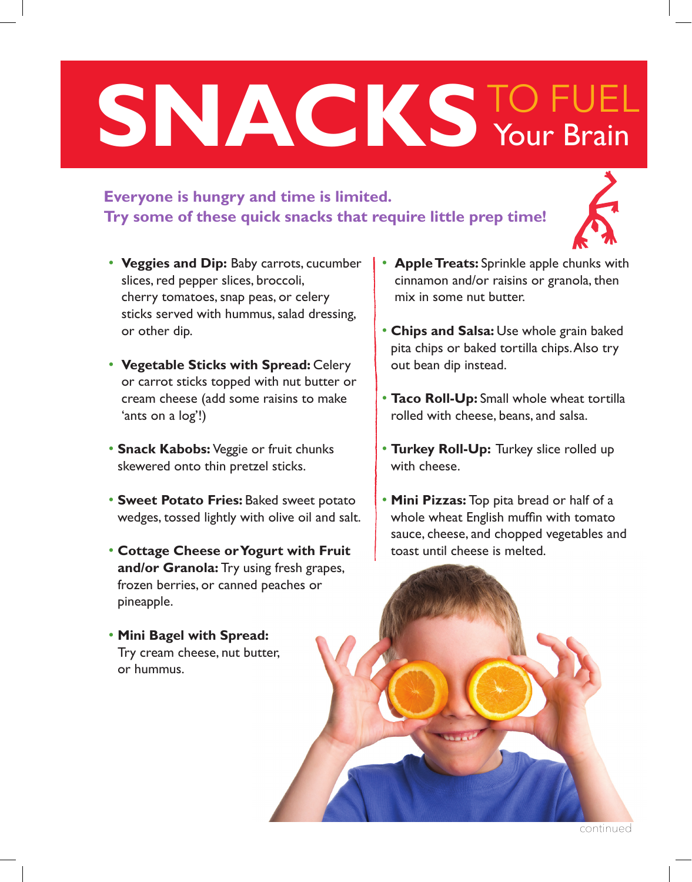# SNACKS<sup>TO FUEL</sup><br>Your Brain Your Brain

### **Everyone is hungry and time is limited. Try some of these quick snacks that require little prep time!**



- **Veggies and Dip:** Baby carrots, cucumber slices, red pepper slices, broccoli, cherry tomatoes, snap peas, or celery sticks served with hummus, salad dressing, or other dip.
- **Vegetable Sticks with Spread:** Celery or carrot sticks topped with nut butter or cream cheese (add some raisins to make 'ants on a log'!)
- **Snack Kabobs:** Veggie or fruit chunks skewered onto thin pretzel sticks.
- **Sweet Potato Fries:** Baked sweet potato wedges, tossed lightly with olive oil and salt.
- **Cottage Cheese or Yogurt with Fruit and/or Granola:** Try using fresh grapes, frozen berries, or canned peaches or pineapple.
- **Mini Bagel with Spread:**  Try cream cheese, nut butter, or hummus.
- **Apple Treats:** Sprinkle apple chunks with cinnamon and/or raisins or granola, then mix in some nut butter.
- **Chips and Salsa:** Use whole grain baked pita chips or baked tortilla chips. Also try out bean dip instead.
- **Taco Roll-Up:** Small whole wheat tortilla rolled with cheese, beans, and salsa.
- **Turkey Roll-Up:** Turkey slice rolled up with cheese.
- **Mini Pizzas:** Top pita bread or half of a whole wheat English muffin with tomato sauce, cheese, and chopped vegetables and toast until cheese is melted.